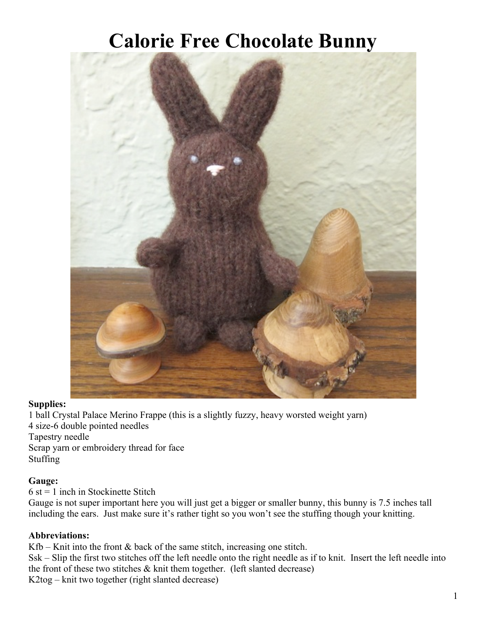# **Calorie Free Chocolate Bunny**



## **Supplies:**

1 ball Crystal Palace Merino Frappe (this is a slightly fuzzy, heavy worsted weight yarn) 4 size-6 double pointed needles Tapestry needle Scrap yarn or embroidery thread for face Stuffing

## **Gauge:**

 $6$  st = 1 inch in Stockinette Stitch

Gauge is not super important here you will just get a bigger or smaller bunny, this bunny is 7.5 inches tall including the ears. Just make sure it's rather tight so you won't see the stuffing though your knitting.

## **Abbreviations:**

Kfb – Knit into the front  $\&$  back of the same stitch, increasing one stitch.

Ssk – Slip the first two stitches off the left needle onto the right needle as if to knit. Insert the left needle into the front of these two stitches  $\&$  knit them together. (left slanted decrease) K2tog – knit two together (right slanted decrease)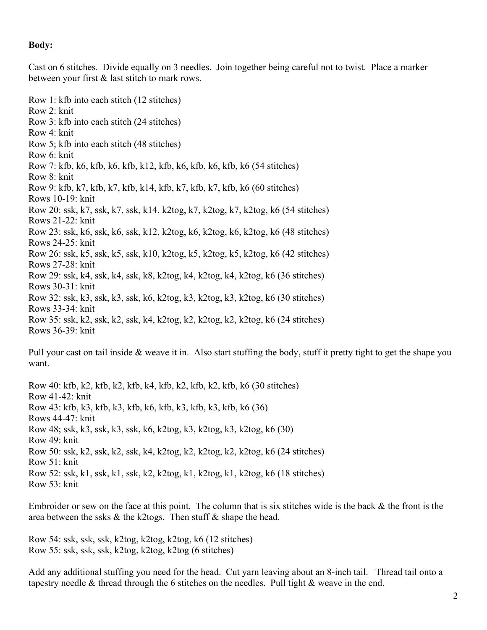#### **Body:**

Cast on 6 stitches. Divide equally on 3 needles. Join together being careful not to twist. Place a marker between your first & last stitch to mark rows.

Row 1: kfb into each stitch (12 stitches) Row 2: knit Row 3: kfb into each stitch (24 stitches) Row 4: knit Row 5; kfb into each stitch (48 stitches) Row 6: knit Row 7: kfb, k6, kfb, k6, kfb, k12, kfb, k6, kfb, k6, kfb, k6 (54 stitches) Row 8: knit Row 9: kfb, k7, kfb, k7, kfb, k14, kfb, k7, kfb, k7, kfb, k6 (60 stitches) Rows 10-19: knit Row 20: ssk, k7, ssk, k7, ssk, k14, k2tog, k7, k2tog, k7, k2tog, k6 (54 stitches) Rows 21-22: knit Row 23: ssk, k6, ssk, k6, ssk, k12, k2tog, k6, k2tog, k6, k2tog, k6 (48 stitches) Rows 24-25: knit Row 26: ssk, k5, ssk, k5, ssk, k10, k2tog, k5, k2tog, k5, k2tog, k6 (42 stitches) Rows 27-28: knit Row 29: ssk, k4, ssk, k4, ssk, k8, k2tog, k4, k2tog, k4, k2tog, k6 (36 stitches) Rows 30-31: knit Row 32: ssk, k3, ssk, k3, ssk, k6, k2tog, k3, k2tog, k3, k2tog, k6 (30 stitches) Rows 33-34: knit Row 35: ssk, k2, ssk, k2, ssk, k4, k2tog, k2, k2tog, k2, k2tog, k6 (24 stitches) Rows 36-39: knit

Pull your cast on tail inside  $\&$  weave it in. Also start stuffing the body, stuff it pretty tight to get the shape you want.

Row 40: kfb, k2, kfb, k2, kfb, k4, kfb, k2, kfb, k2, kfb, k6 (30 stitches) Row 41-42: knit Row 43: kfb, k3, kfb, k3, kfb, k6, kfb, k3, kfb, k3, kfb, k6 (36) Rows 44-47: knit Row 48; ssk, k3, ssk, k3, ssk, k6, k2tog, k3, k2tog, k3, k2tog, k6 (30) Row 49: knit Row 50: ssk, k2, ssk, k2, ssk, k4, k2tog, k2, k2tog, k2, k2tog, k6 (24 stitches) Row 51: knit Row 52: ssk, k1, ssk, k1, ssk, k2, k2tog, k1, k2tog, k1, k2tog, k6 (18 stitches) Row 53: knit

Embroider or sew on the face at this point. The column that is six stitches wide is the back  $\&$  the front is the area between the ssks & the k2togs. Then stuff & shape the head.

Row 54: ssk, ssk, ssk, k2tog, k2tog, k2tog, k6 (12 stitches) Row 55: ssk, ssk, ssk, k2tog, k2tog, k2tog (6 stitches)

Add any additional stuffing you need for the head. Cut yarn leaving about an 8-inch tail. Thread tail onto a tapestry needle  $\&$  thread through the 6 stitches on the needles. Pull tight  $\&$  weave in the end.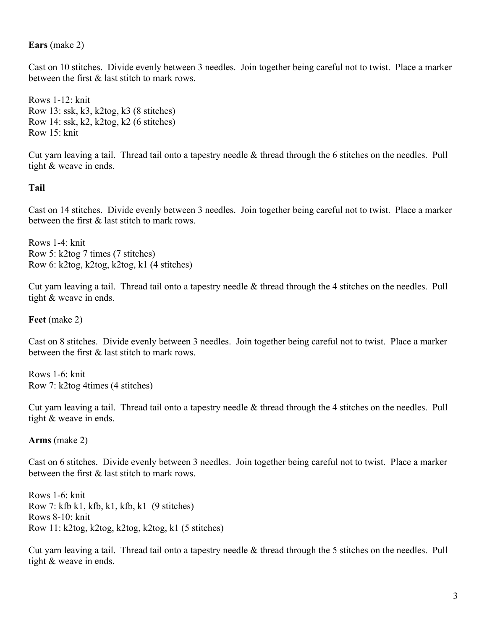#### **Ears** (make 2)

Cast on 10 stitches. Divide evenly between 3 needles. Join together being careful not to twist. Place a marker between the first & last stitch to mark rows.

Rows 1-12: knit Row 13: ssk, k3, k2tog, k3 (8 stitches) Row 14: ssk, k2, k2tog, k2 (6 stitches) Row 15: knit

Cut yarn leaving a tail. Thread tail onto a tapestry needle & thread through the 6 stitches on the needles. Pull tight & weave in ends.

#### **Tail**

Cast on 14 stitches. Divide evenly between 3 needles. Join together being careful not to twist. Place a marker between the first & last stitch to mark rows.

Rows 1-4: knit Row 5: k2tog 7 times (7 stitches) Row 6: k2tog, k2tog, k2tog, k1 (4 stitches)

Cut yarn leaving a tail. Thread tail onto a tapestry needle & thread through the 4 stitches on the needles. Pull tight & weave in ends.

**Feet** (make 2)

Cast on 8 stitches. Divide evenly between 3 needles. Join together being careful not to twist. Place a marker between the first & last stitch to mark rows.

Rows 1-6: knit Row 7: k2tog 4times (4 stitches)

Cut yarn leaving a tail. Thread tail onto a tapestry needle & thread through the 4 stitches on the needles. Pull tight & weave in ends.

#### **Arms** (make 2)

Cast on 6 stitches. Divide evenly between 3 needles. Join together being careful not to twist. Place a marker between the first & last stitch to mark rows.

Rows 1-6: knit Row 7: kfb k1, kfb, k1, kfb, k1  $(9 \text{ stitches})$ Rows 8-10: knit Row 11: k2tog, k2tog, k2tog, k2tog, k1 (5 stitches)

Cut yarn leaving a tail. Thread tail onto a tapestry needle & thread through the 5 stitches on the needles. Pull tight & weave in ends.